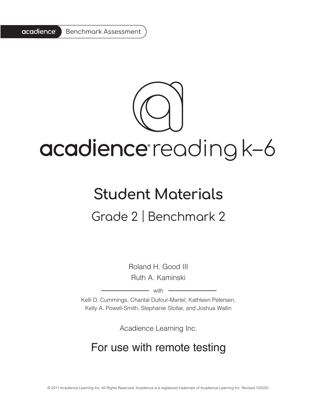

# acadience reading k-6

# **Student Materials** Grade 2 | Benchmark 2

Roland H. Good III Ruth A. Kaminski

 $-$  with  $-$ 

Kelli D. Cummings, Chantal Dufour-Martel, Kathleen Petersen, Kelly A. Powell-Smith, Stephanie Stollar, and Joshua Wallin

Acadience Learning Inc.

## For use with remote testing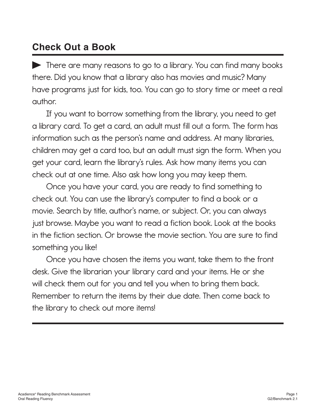### **Check Out a Book**

There are many reasons to go to a library. You can find many books there. Did you know that a library also has movies and music? Many have programs just for kids, too. You can go to story time or meet a real author.

If you want to borrow something from the library, you need to get a library card. To get a card, an adult must fill out a form. The form has information such as the person's name and address. At many libraries, children may get a card too, but an adult must sign the form. When you get your card, learn the library's rules. Ask how many items you can check out at one time. Also ask how long you may keep them.

Once you have your card, you are ready to find something to check out. You can use the library's computer to find a book or a movie. Search by title, author's name, or subject. Or, you can always just browse. Maybe you want to read a fiction book. Look at the books in the fiction section. Or browse the movie section. You are sure to find something you like!

Once you have chosen the items you want, take them to the front desk. Give the librarian your library card and your items. He or she will check them out for you and tell you when to bring them back. Remember to return the items by their due date. Then come back to the library to check out more items!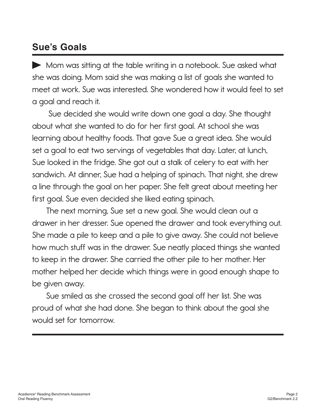### **Sue's Goals**

Mom was sitting at the table writing in a notebook. Sue asked what she was doing. Mom said she was making a list of goals she wanted to meet at work. Sue was interested. She wondered how it would feel to set a goal and reach it.

 Sue decided she would write down one goal a day. She thought about what she wanted to do for her first goal. At school she was learning about healthy foods. That gave Sue a great idea. She would set a goal to eat two servings of vegetables that day. Later, at lunch, Sue looked in the fridge. She got out a stalk of celery to eat with her sandwich. At dinner, Sue had a helping of spinach. That night, she drew a line through the goal on her paper. She felt great about meeting her first goal. Sue even decided she liked eating spinach.

The next morning, Sue set a new goal. She would clean out a drawer in her dresser. Sue opened the drawer and took everything out. She made a pile to keep and a pile to give away. She could not believe how much stuff was in the drawer. Sue neatly placed things she wanted to keep in the drawer. She carried the other pile to her mother. Her mother helped her decide which things were in good enough shape to be given away.

Sue smiled as she crossed the second goal off her list. She was proud of what she had done. She began to think about the goal she would set for tomorrow.